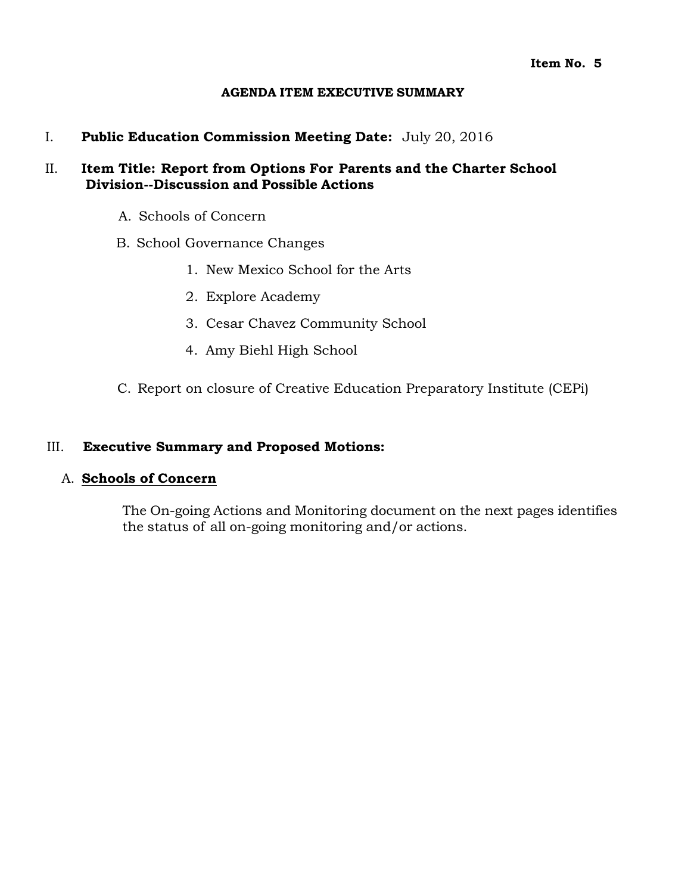### **AGENDA ITEM EXECUTIVE SUMMARY**

I. **Public Education Commission Meeting Date:** July 20, 2016

## II. **Item Title: Report from Options For Parents and the Charter School Division--Discussion and Possible Actions**

- A. Schools of Concern
- B. School Governance Changes
	- 1. New Mexico School for the Arts
	- 2. Explore Academy
	- 3. Cesar Chavez Community School
	- 4. Amy Biehl High School
- C. Report on closure of Creative Education Preparatory Institute (CEPi)

## III. **Executive Summary and Proposed Motions:**

## A. **Schools of Concern**

The On-going Actions and Monitoring document on the next pages identifies the status of all on-going monitoring and/or actions.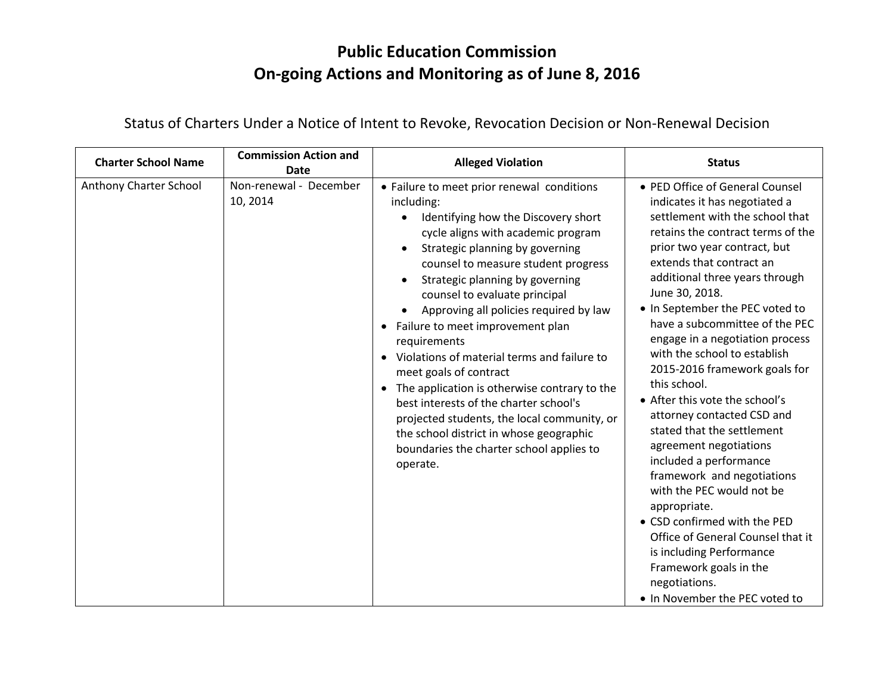# **Public Education Commission On-going Actions and Monitoring as of June 8, 2016**

| <b>Charter School Name</b> | <b>Commission Action and</b><br><b>Date</b> | <b>Alleged Violation</b>                                                                                                                                                                                                                                                                                                                                                                                                                                                                                                                                                                                                                                                                                            | <b>Status</b>                                                                                                                                                                                                                                                                                                                                                                                                                                                                                                                                                                                                                                                                                                                                                                                                                                                |
|----------------------------|---------------------------------------------|---------------------------------------------------------------------------------------------------------------------------------------------------------------------------------------------------------------------------------------------------------------------------------------------------------------------------------------------------------------------------------------------------------------------------------------------------------------------------------------------------------------------------------------------------------------------------------------------------------------------------------------------------------------------------------------------------------------------|--------------------------------------------------------------------------------------------------------------------------------------------------------------------------------------------------------------------------------------------------------------------------------------------------------------------------------------------------------------------------------------------------------------------------------------------------------------------------------------------------------------------------------------------------------------------------------------------------------------------------------------------------------------------------------------------------------------------------------------------------------------------------------------------------------------------------------------------------------------|
| Anthony Charter School     | Non-renewal - December<br>10, 2014          | • Failure to meet prior renewal conditions<br>including:<br>Identifying how the Discovery short<br>cycle aligns with academic program<br>Strategic planning by governing<br>counsel to measure student progress<br>Strategic planning by governing<br>counsel to evaluate principal<br>Approving all policies required by law<br>Failure to meet improvement plan<br>requirements<br>Violations of material terms and failure to<br>meet goals of contract<br>The application is otherwise contrary to the<br>$\bullet$<br>best interests of the charter school's<br>projected students, the local community, or<br>the school district in whose geographic<br>boundaries the charter school applies to<br>operate. | • PED Office of General Counsel<br>indicates it has negotiated a<br>settlement with the school that<br>retains the contract terms of the<br>prior two year contract, but<br>extends that contract an<br>additional three years through<br>June 30, 2018.<br>• In September the PEC voted to<br>have a subcommittee of the PEC<br>engage in a negotiation process<br>with the school to establish<br>2015-2016 framework goals for<br>this school.<br>• After this vote the school's<br>attorney contacted CSD and<br>stated that the settlement<br>agreement negotiations<br>included a performance<br>framework and negotiations<br>with the PEC would not be<br>appropriate.<br>• CSD confirmed with the PED<br>Office of General Counsel that it<br>is including Performance<br>Framework goals in the<br>negotiations.<br>• In November the PEC voted to |

Status of Charters Under a Notice of Intent to Revoke, Revocation Decision or Non-Renewal Decision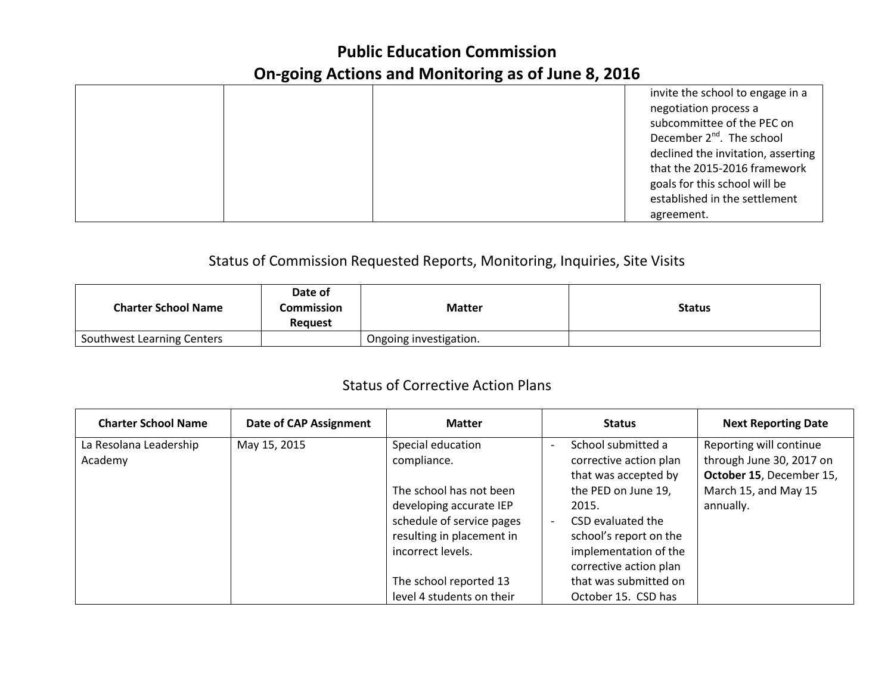# **Public Education Commission On-going Actions and Monitoring as of June 8, 2016**

|  | invite the school to engage in a      |
|--|---------------------------------------|
|  | negotiation process a                 |
|  | subcommittee of the PEC on            |
|  | December 2 <sup>nd</sup> . The school |
|  | declined the invitation, asserting    |
|  | that the 2015-2016 framework          |
|  | goals for this school will be         |
|  | established in the settlement         |
|  | agreement.                            |

# Status of Commission Requested Reports, Monitoring, Inquiries, Site Visits

| <b>Charter School Name</b> | Date of<br>Commission<br><b>Request</b> | <b>Matter</b>          | <b>Status</b> |
|----------------------------|-----------------------------------------|------------------------|---------------|
| Southwest Learning Centers |                                         | Ongoing investigation. |               |

# Status of Corrective Action Plans

| <b>Charter School Name</b> | <b>Date of CAP Assignment</b> | <b>Matter</b>             | <b>Status</b>                                  | <b>Next Reporting Date</b> |
|----------------------------|-------------------------------|---------------------------|------------------------------------------------|----------------------------|
| La Resolana Leadership     | May 15, 2015                  | Special education         | School submitted a<br>$\overline{\phantom{a}}$ | Reporting will continue    |
| Academy                    |                               | compliance.               | corrective action plan                         | through June 30, 2017 on   |
|                            |                               |                           | that was accepted by                           | October 15, December 15,   |
|                            |                               | The school has not been   | the PED on June 19,                            | March 15, and May 15       |
|                            |                               | developing accurate IEP   | 2015.                                          | annually.                  |
|                            |                               | schedule of service pages | CSD evaluated the                              |                            |
|                            |                               | resulting in placement in | school's report on the                         |                            |
|                            |                               | incorrect levels.         | implementation of the                          |                            |
|                            |                               |                           | corrective action plan                         |                            |
|                            |                               | The school reported 13    | that was submitted on                          |                            |
|                            |                               | level 4 students on their | October 15. CSD has                            |                            |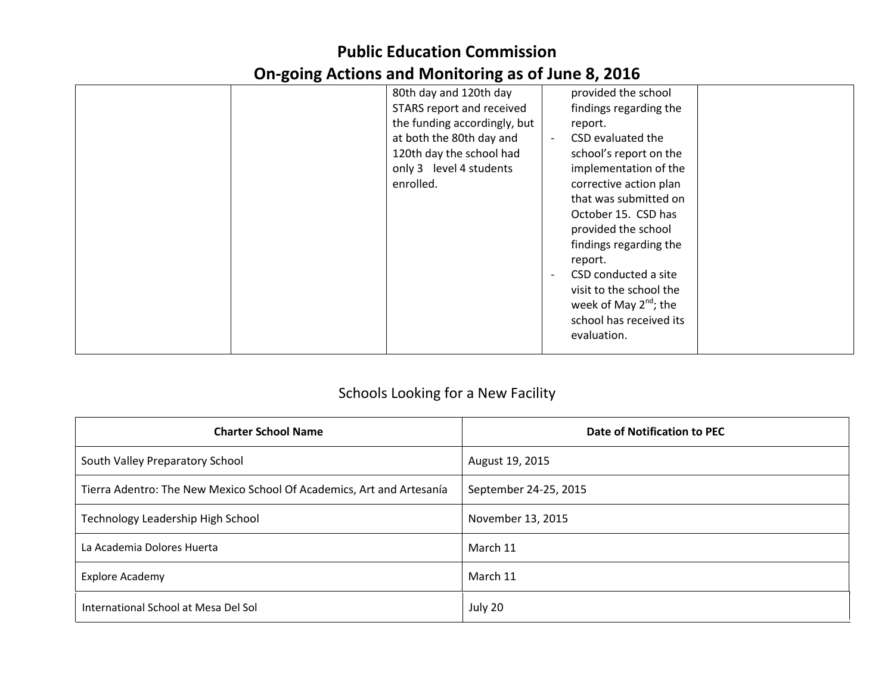# **Public Education Commission On-going Actions and Monitoring as of June 8, 2016**

|  | 80th day and 120th day       |                          | provided the school        |  |
|--|------------------------------|--------------------------|----------------------------|--|
|  | STARS report and received    |                          | findings regarding the     |  |
|  | the funding accordingly, but |                          | report.                    |  |
|  | at both the 80th day and     |                          | CSD evaluated the          |  |
|  | 120th day the school had     |                          | school's report on the     |  |
|  | only 3 level 4 students      |                          | implementation of the      |  |
|  | enrolled.                    |                          | corrective action plan     |  |
|  |                              |                          | that was submitted on      |  |
|  |                              |                          | October 15. CSD has        |  |
|  |                              |                          | provided the school        |  |
|  |                              |                          | findings regarding the     |  |
|  |                              |                          | report.                    |  |
|  |                              | $\overline{\phantom{a}}$ | CSD conducted a site       |  |
|  |                              |                          | visit to the school the    |  |
|  |                              |                          | week of May $2^{nd}$ ; the |  |
|  |                              |                          | school has received its    |  |
|  |                              |                          | evaluation.                |  |
|  |                              |                          |                            |  |

# Schools Looking for a New Facility

| <b>Charter School Name</b>                                            | Date of Notification to PEC |
|-----------------------------------------------------------------------|-----------------------------|
| South Valley Preparatory School                                       | August 19, 2015             |
| Tierra Adentro: The New Mexico School Of Academics, Art and Artesanía | September 24-25, 2015       |
| Technology Leadership High School                                     | November 13, 2015           |
| La Academia Dolores Huerta                                            | March 11                    |
| <b>Explore Academy</b>                                                | March 11                    |
| International School at Mesa Del Sol                                  | July 20                     |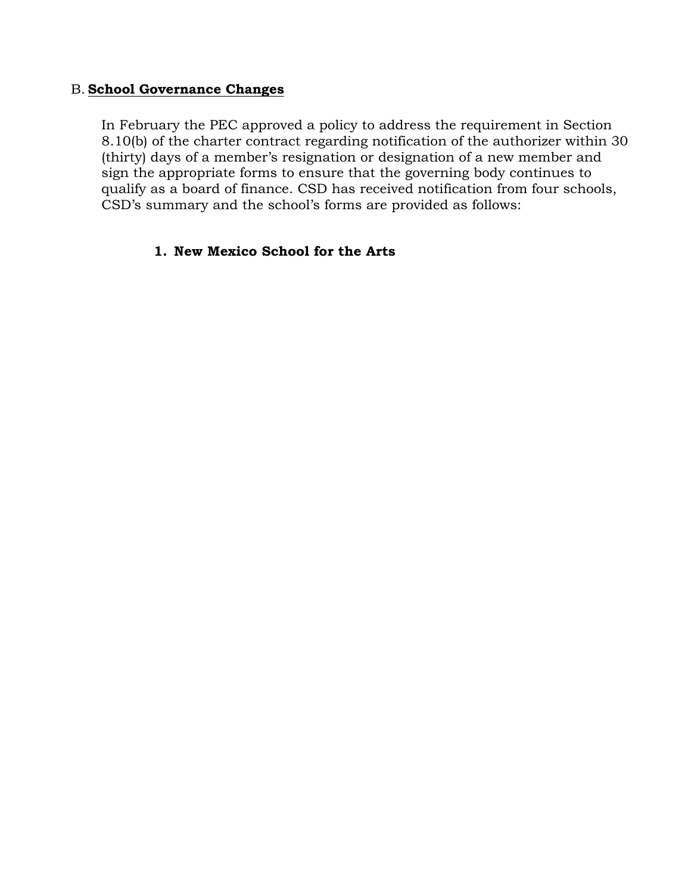## B. **School Governance Changes**

In February the PEC approved a policy to address the requirement in Section 8.10(b) of the charter contract regarding notification of the authorizer within 30 (thirty) days of a member's resignation or designation of a new member and sign the appropriate forms to ensure that the governing body continues to qualify as a board of finance. CSD has received notification from four schools, CSD's summary and the school's forms are provided as follows:

## **1. New Mexico School for the Arts**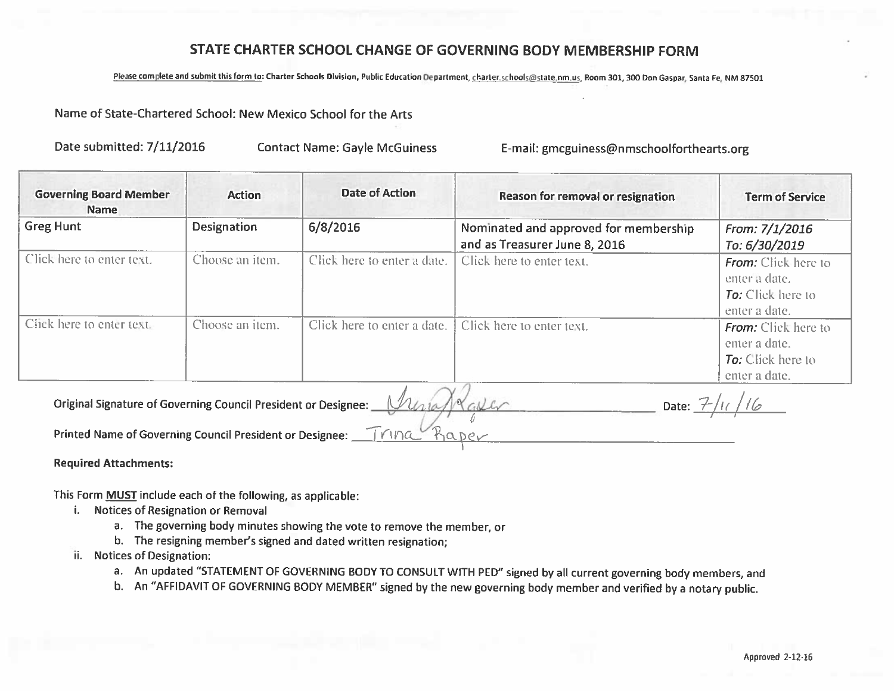## STATE CHARTER SCHOOL CHANGE OF GOVERNING BODY MEMBERSHIP FORM

Please complete and submit this form to: Charter Schools Division, Public Education Department, charter.schools@state.nm.us, Room 301, 300 Don Gaspar, Santa Fe, NM 87501

#### Name of State-Chartered School: New Mexico School for the Arts

Date submitted: 7/11/2016

**Contact Name: Gayle McGuiness** 

E-mail: gmcguiness@nmschoolforthearts.org

| <b>Governing Board Member</b><br><b>Name</b> | <b>Action</b>      | <b>Date of Action</b>       | Reason for removal or resignation                                      | <b>Term of Service</b>                                                                   |
|----------------------------------------------|--------------------|-----------------------------|------------------------------------------------------------------------|------------------------------------------------------------------------------------------|
| <b>Greg Hunt</b>                             | <b>Designation</b> | 6/8/2016                    | Nominated and approved for membership<br>and as Treasurer June 8, 2016 | From: 7/1/2016<br>То: 6/30/2019                                                          |
| Click here to enter text.                    | Choose an item.    | Click here to enter a date. | Click here to enter text.                                              | <b>From:</b> Click here to<br>enter à date.<br><b>To:</b> Click here to<br>enter a date. |
| Click here to enter text.                    | Choose an item.    | Click here to enter a date. | Click here to enter text.                                              | <b>From:</b> Click here to<br>enter a date.<br><b>To:</b> Click here to<br>enter a date. |

Original Signature of Governing Council President or Designee:

Printed Name of Governing Council President or Designee:

**Required Attachments:** 

This Form MUST include each of the following, as applicable:

- i. Notices of Resignation or Removal
	- a. The governing body minutes showing the vote to remove the member, or
	- b. The resigning member's signed and dated written resignation;
- ii. Notices of Designation:
	- a. An updated "STATEMENT OF GOVERNING BODY TO CONSULT WITH PED" signed by all current governing body members, and
	- b. An "AFFIDAVIT OF GOVERNING BODY MEMBER" signed by the new governing body member and verified by a notary public.

Date:  $7/11/16$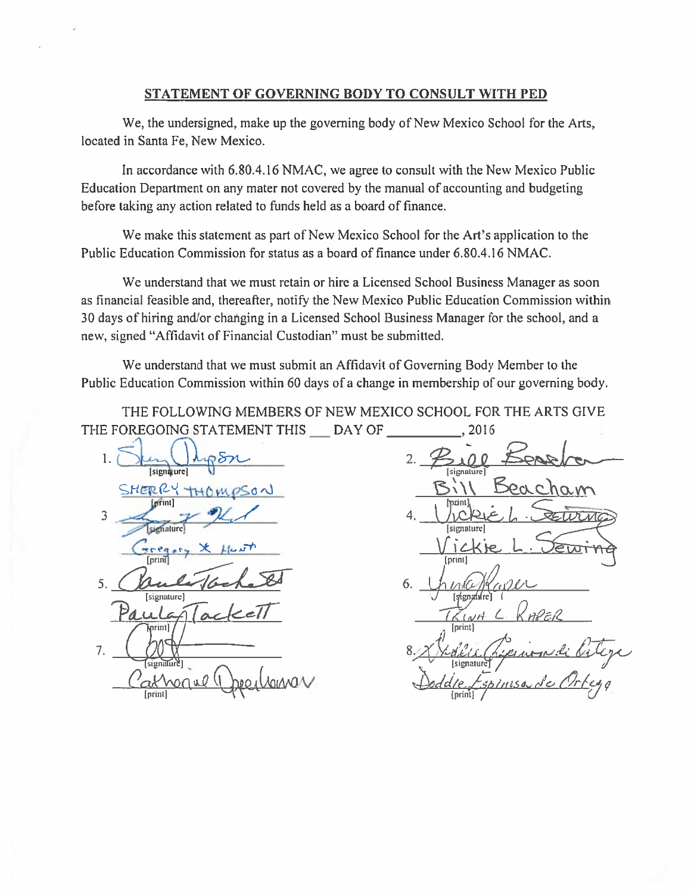#### STATEMENT OF GOVERNING BODY TO CONSULT WITH PED

We, the undersigned, make up the governing body of New Mexico School for the Arts, located in Santa Fe, New Mexico.

In accordance with 6.80.4.16 NMAC, we agree to consult with the New Mexico Public Education Department on any mater not covered by the manual of accounting and budgeting before taking any action related to funds held as a board of finance.

We make this statement as part of New Mexico School for the Art's application to the Public Education Commission for status as a board of finance under 6.80.4.16 NMAC.

We understand that we must retain or hire a Licensed School Business Manager as soon as financial feasible and, thereafter, notify the New Mexico Public Education Commission within 30 days of hiring and/or changing in a Licensed School Business Manager for the school, and a new, signed "Affidavit of Financial Custodian" must be submitted.

We understand that we must submit an Affidavit of Governing Body Member to the Public Education Commission within 60 days of a change in membership of our governing body.

THE FOLLOWING MEMBERS OF NEW MEXICO SCHOOL FOR THE ARTS GIVE THE FOREGOING STATEMENT THIS DAY OF 2016

1. [signature] SHERRY THE *Lorint* 3 signature cea [prin] 5. [signature]  $print]$ 7. signaturel VOMMA mnal *<u>Iprint</sub></u>* 

*<u>Isienature</u>* [print] [signature] [print] 6. [signature] riP E R  $K(N)$ [print] [signatur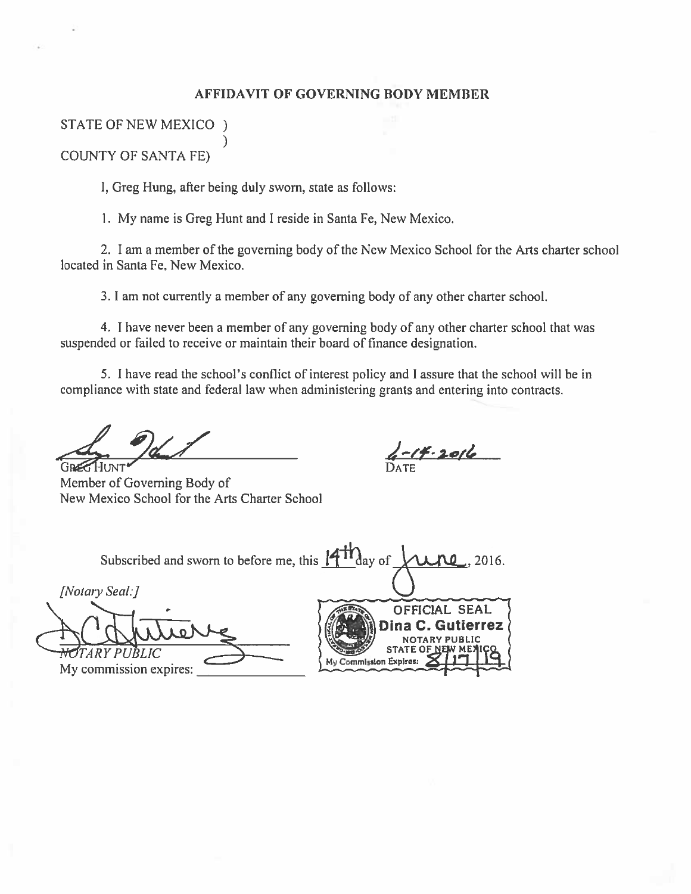#### AFFIDAVIT OF GOVERNING BODY MEMBER

# STATE OF NEW MEXICO )

**COUNTY OF SANTA FE)** 

I, Greg Hung, after being duly sworn, state as follows:

ſ

1. My name is Greg Hunt and I reside in Santa Fe, New Mexico.

2. I am a member of the governing body of the New Mexico School for the Arts charter school located in Santa Fe, New Mexico.

3. I am not currently a member of any governing body of any other charter school.

4. I have never been a member of any governing body of any other charter school that was suspended or failed to receive or maintain their board of finance designation.

5. I have read the school's conflict of interest policy and I assure that the school will be in compliance with state and federal law when administering grants and entering into contracts.

 $4 - 14.2016$ 

Member of Governing Body of New Mexico School for the Arts Charter School

Subscribed and sworn to before me, this  $\frac{1}{4}$   $\frac{1}{4}$   $\frac{1}{4}$   $\frac{1}{4}$   $\frac{1}{4}$   $\frac{1}{4}$   $\frac{1}{4}$   $\frac{1}{4}$   $\frac{1}{4}$   $\frac{1}{4}$   $\frac{1}{4}$   $\frac{1}{4}$   $\frac{1}{4}$   $\frac{1}{4}$   $\frac{1}{4}$   $\frac{1}{4}$   $\frac{1}{4}$   $\frac{1}{4}$  2016. [Notary Seal:] OFFICIAL SEAL Dina C. Gutierrez **NOTARY PUBLIC STATE OF N** RY PHRITC My Commission Expires: My commission expires: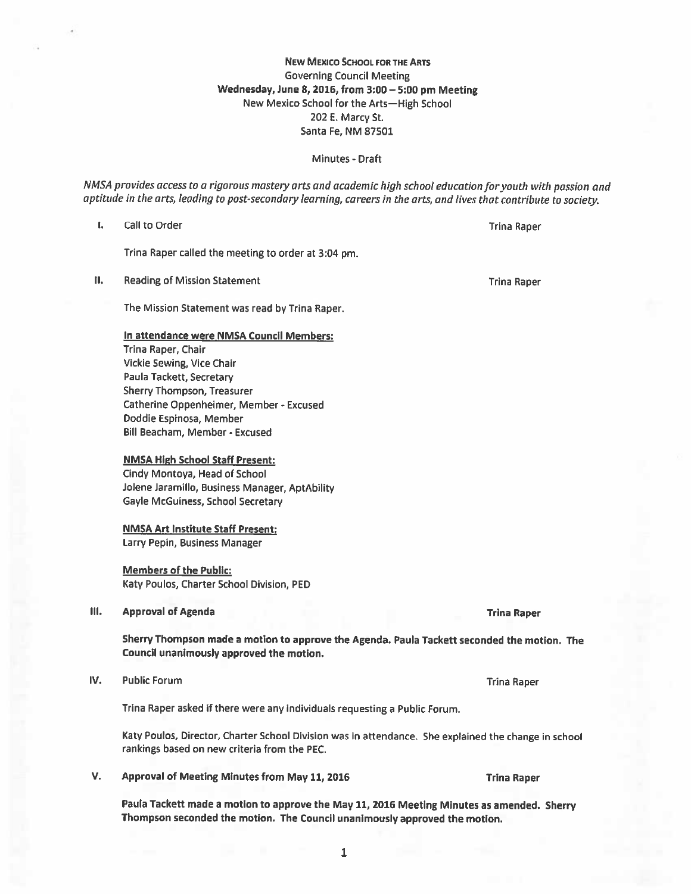# $\mathbf{1}$

**NEW MEXICO SCHOOL FOR THE ARTS Governing Council Meeting** Wednesday, June 8, 2016, from 3:00 - 5:00 pm Meeting New Mexico School for the Arts-High School 202 E. Marcy St. Santa Fe, NM 87501

#### Minutes - Draft

NMSA provides access to a rigorous mastery arts and academic high school education for youth with passion and aptitude in the arts, leading to post-secondary learning, careers in the arts, and lives that contribute to society.

I. Call to Order

Trina Raper called the meeting to order at 3:04 pm.

П. **Reading of Mission Statement** 

The Mission Statement was read by Trina Raper.

#### In attendance were NMSA Council Members:

Trina Raper, Chair Vickie Sewing, Vice Chair Paula Tackett, Secretary Sherry Thompson, Treasurer Catherine Oppenheimer, Member - Excused Doddie Espinosa, Member Bill Beacham, Member - Excused

#### **NMSA High School Staff Present:**

Cindy Montoya, Head of School Jolene Jaramillo, Business Manager, AptAbility Gayle McGuiness, School Secretary

#### **NMSA Art Institute Staff Present:**

Larry Pepin, Business Manager

#### **Members of the Public:**

Katy Poulos, Charter School Division, PED

#### Ш. **Approval of Agenda**

Sherry Thompson made a motion to approve the Agenda. Paula Tackett seconded the motion. The Council unanimously approved the motion.

IV. **Public Forum** 

Trina Raper asked if there were any individuals requesting a Public Forum.

Katy Poulos, Director, Charter School Division was in attendance. She explained the change in school rankings based on new criteria from the PEC.

V. Approval of Meeting Minutes from May 11, 2016

> Paula Tackett made a motion to approve the May 11, 2016 Meeting Minutes as amended. Sherry Thompson seconded the motion. The Council unanimously approved the motion.

**Trina Raper** 

**Trina Raper** 

**Trina Raper** 

**Trina Raper** 

**Trina Raper**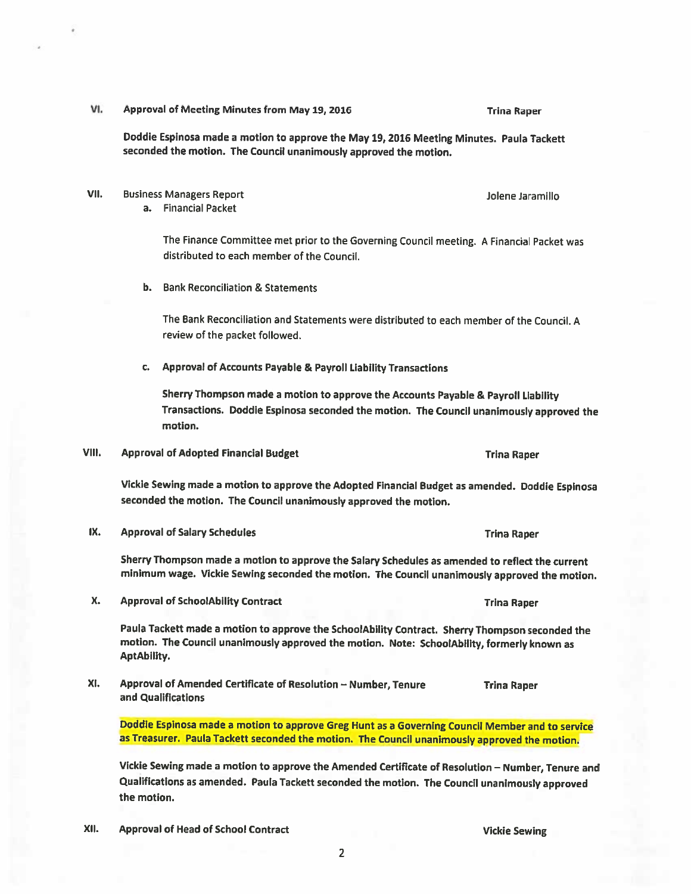VI. Approval of Meeting Minutes from May 19, 2016

**Trina Raper** 

Jolene Jaramillo

Doddie Espinosa made a motion to approve the May 19, 2016 Meeting Minutes. Paula Tackett seconded the motion. The Council unanimously approved the motion.

VII. **Business Managers Report** 

a. Financial Packet

The Finance Committee met prior to the Governing Council meeting. A Financial Packet was distributed to each member of the Council.

**b.** Bank Reconciliation & Statements

The Bank Reconciliation and Statements were distributed to each member of the Council. A review of the packet followed.

c. Approval of Accounts Payable & Payroll Liability Transactions

Sherry Thompson made a motion to approve the Accounts Payable & Payroll Liability Transactions. Doddie Espinosa seconded the motion. The Council unanimously approved the motion.

VIII. **Approval of Adopted Financial Budget** 

Vickie Sewing made a motion to approve the Adopted Financial Budget as amended. Doddie Espinosa seconded the motion. The Council unanimously approved the motion.

IX. **Approval of Salary Schedules** 

> Sherry Thompson made a motion to approve the Salary Schedules as amended to reflect the current minimum wage. Vickie Sewing seconded the motion. The Council unanimously approved the motion.

Х. **Approval of SchoolAbility Contract** 

> Paula Tackett made a motion to approve the SchoolAbility Contract. Sherry Thompson seconded the motion. The Council unanimously approved the motion. Note: SchoolAbility, formerly known as **AptAbility.**

XI. Approval of Amended Certificate of Resolution - Number, Tenure **Trina Raper** and Qualifications

Doddie Espinosa made a motion to approve Greg Hunt as a Governing Council Member and to service as Treasurer. Paula Tackett seconded the motion. The Council unanimously approved the motion.

Vickie Sewing made a motion to approve the Amended Certificate of Resolution - Number, Tenure and Qualifications as amended. Paula Tackett seconded the motion. The Council unanimously approved the motion.

XII. **Approval of Head of School Contract** 

**Vickie Sewing** 

**Trina Raper** 

**Trina Raper** 

**Trina Raper**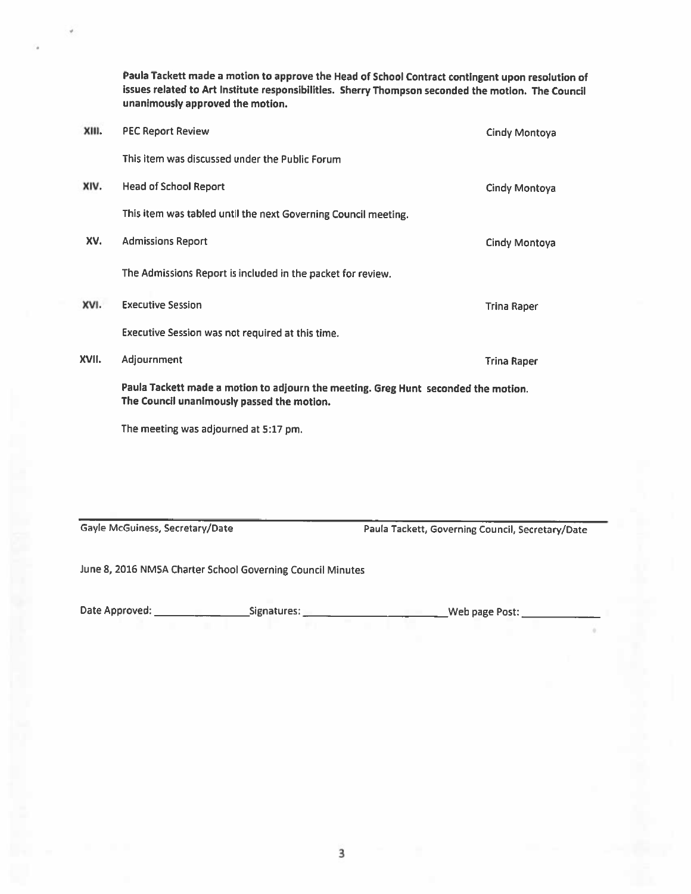Paula Tackett made a motion to approve the Head of School Contract contingent upon resolution of issues related to Art Institute responsibilities. Sherry Thompson seconded the motion. The Council unanimously approved the motion.

| XIII. | <b>PEC Report Review</b>                                                                                                         | Cindy Montoya      |
|-------|----------------------------------------------------------------------------------------------------------------------------------|--------------------|
|       | This item was discussed under the Public Forum                                                                                   |                    |
| XIV.  | <b>Head of School Report</b>                                                                                                     | Cindy Montoya      |
|       | This item was tabled until the next Governing Council meeting.                                                                   |                    |
| XV.   | <b>Admissions Report</b>                                                                                                         | Cindy Montoya      |
|       | The Admissions Report is included in the packet for review.                                                                      |                    |
| XVI.  | <b>Executive Session</b>                                                                                                         | <b>Trina Raper</b> |
|       | Executive Session was not required at this time.                                                                                 |                    |
| XVII. | Adjournment                                                                                                                      | <b>Trina Raper</b> |
|       | Paula Tackett made a motion to adjourn the meeting. Greg Hunt seconded the motion.<br>The Council unanimously passed the motion. |                    |

The meeting was adjourned at 5:17 pm.

Gayle McGuiness, Secretary/Date

Paula Tackett, Governing Council, Secretary/Date

June 8, 2016 NMSA Charter School Governing Council Minutes

| Date Approved:<br>Signatures: | Web page Post: |
|-------------------------------|----------------|
|-------------------------------|----------------|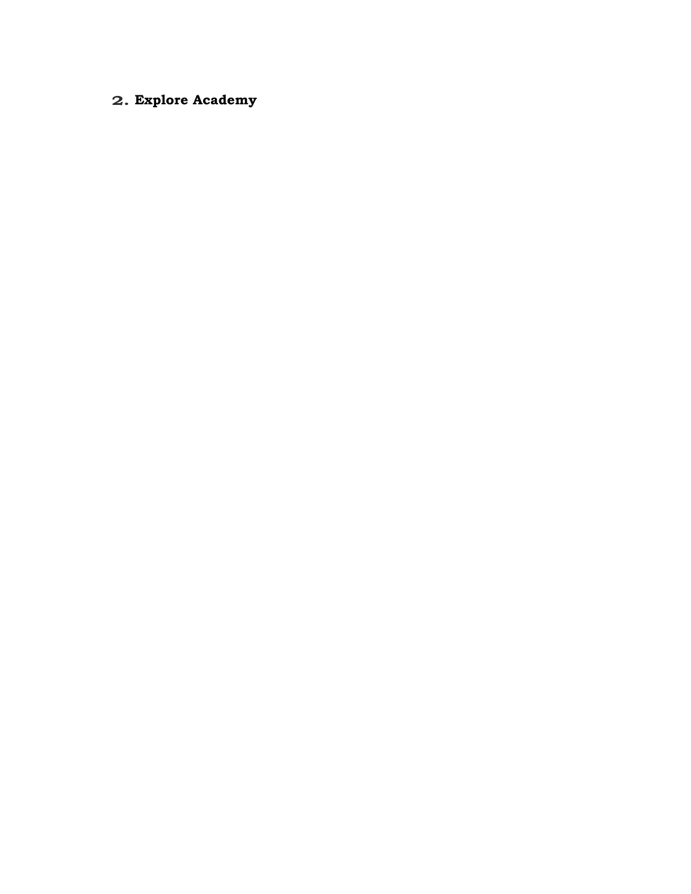# **2. Explore Academy**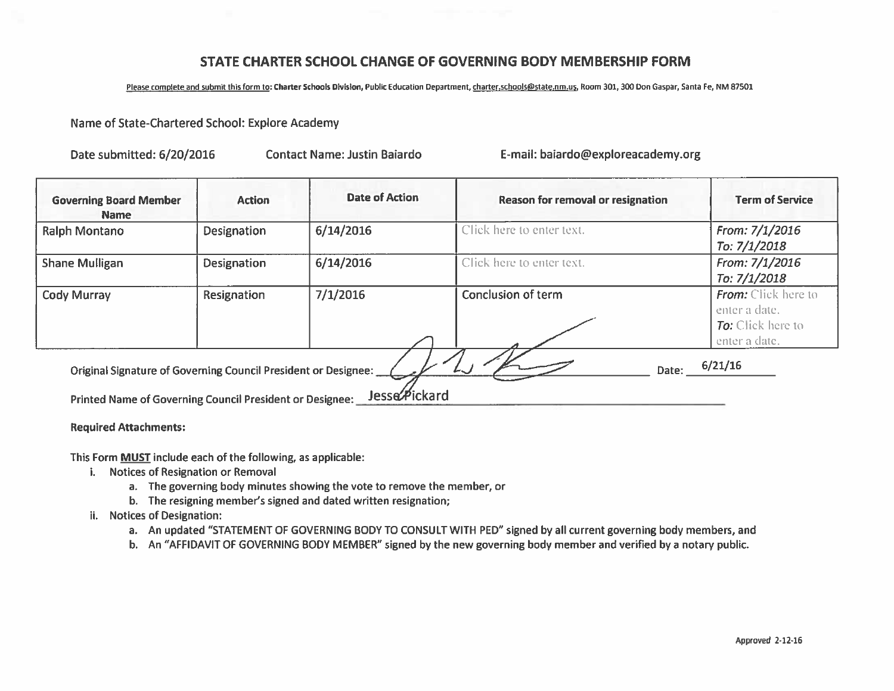## STATE CHARTER SCHOOL CHANGE OF GOVERNING BODY MEMBERSHIP FORM

Please complete and submit this form to: Charter Schools Division, Public Education Department, charter, schools@state.nm.us, Room 301, 300 Don Gaspar, Santa Fe, NM 87501

#### Name of State-Chartered School: Explore Academy

Date submitted: 6/20/2016

**Contact Name: Justin Baiardo** 

E-mail: baiardo@exploreacademy.org

| <b>Governing Board Member</b><br><b>Name</b>                                                                               | <b>Action</b>      | <b>Date of Action</b> | <b>Reason for removal or resignation</b> | <b>Term of Service</b>                                                                   |
|----------------------------------------------------------------------------------------------------------------------------|--------------------|-----------------------|------------------------------------------|------------------------------------------------------------------------------------------|
| <b>Ralph Montano</b>                                                                                                       | <b>Designation</b> | 6/14/2016             | Click here to enter text.                | From: 7/1/2016<br>To: 7/1/2018                                                           |
| <b>Shane Mulligan</b>                                                                                                      | <b>Designation</b> | 6/14/2016             | Click here to enter text.                | From: 7/1/2016<br>To: 7/1/2018                                                           |
| Cody Murray                                                                                                                | Resignation        | 7/1/2016              | Conclusion of term                       | <b>From:</b> Click here to<br>enter a date.<br><b>To:</b> Click here to<br>enter a date. |
| Original Signature of Governing Council President or Designee:<br>Printed Name of Governing Council President or Designee: |                    | Jesse Pickard         | Date:                                    | 6/21/16                                                                                  |

#### **Required Attachments:**

This Form MUST include each of the following, as applicable:

- i. Notices of Resignation or Removal
	- a. The governing body minutes showing the vote to remove the member, or
	- b. The resigning member's signed and dated written resignation;
- ii. Notices of Designation:
	- a. An updated "STATEMENT OF GOVERNING BODY TO CONSULT WITH PED" signed by all current governing body members, and
	- b. An "AFFIDAVIT OF GOVERNING BODY MEMBER" signed by the new governing body member and verified by a notary public.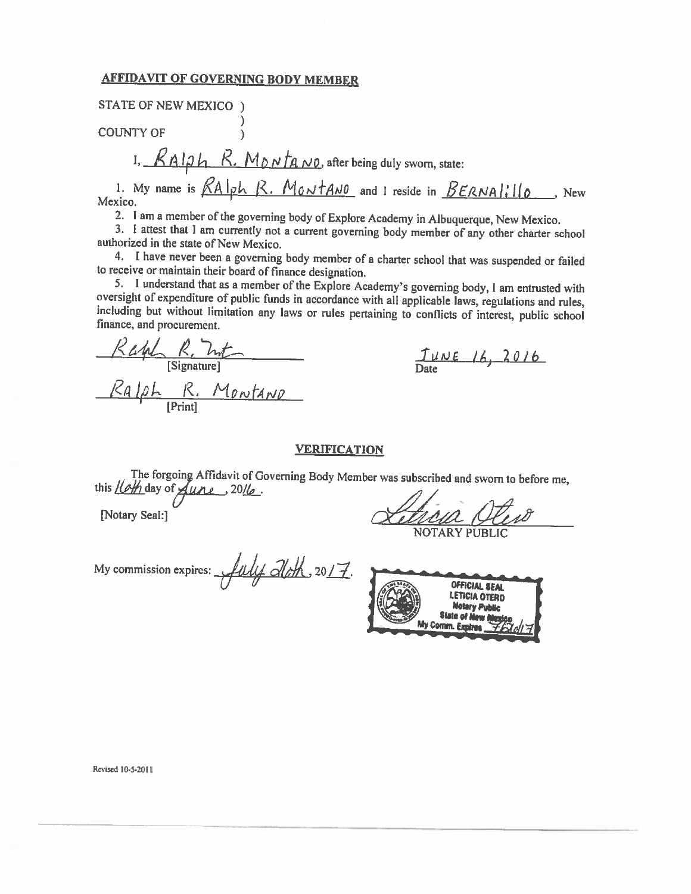#### **AFFIDAVIT OF GOVERNING BODY MEMBER**

**STATE OF NEW MEXICO** )

**COUNTY OF** 

I, RAIOh R. Montano after being duly sworn, state:

1. My name is  $RAIph$  R. Montano and I reside in  $BERNAII$ <sub>0</sub>, New Mexico.

2. I am a member of the governing body of Explore Academy in Albuquerque, New Mexico.

3. I attest that I am currently not a current governing body member of any other charter school authorized in the state of New Mexico.

4. I have never been a governing body member of a charter school that was suspended or failed to receive or maintain their board of finance designation.

5. I understand that as a member of the Explore Academy's governing body, I am entrusted with oversight of expenditure of public funds in accordance with all applicable laws, regulations and rules, including but without limitation any laws or rules pertaining to conflicts of interest, public school finance, and procurement.

Rayle R. Int Ralph R. Montario

 $J_{\text{MLE}}$   $16, 2016$ 

#### **VERIFICATION**

The forgoing Affidavit of Governing Body Member was subscribed and sworn to before me, this *lleth* day of *fune* 2016.

[Notary Seal:]

My commission expires:  $\frac{1}{1}$  aloth, 2017.



Revised 10-5-2011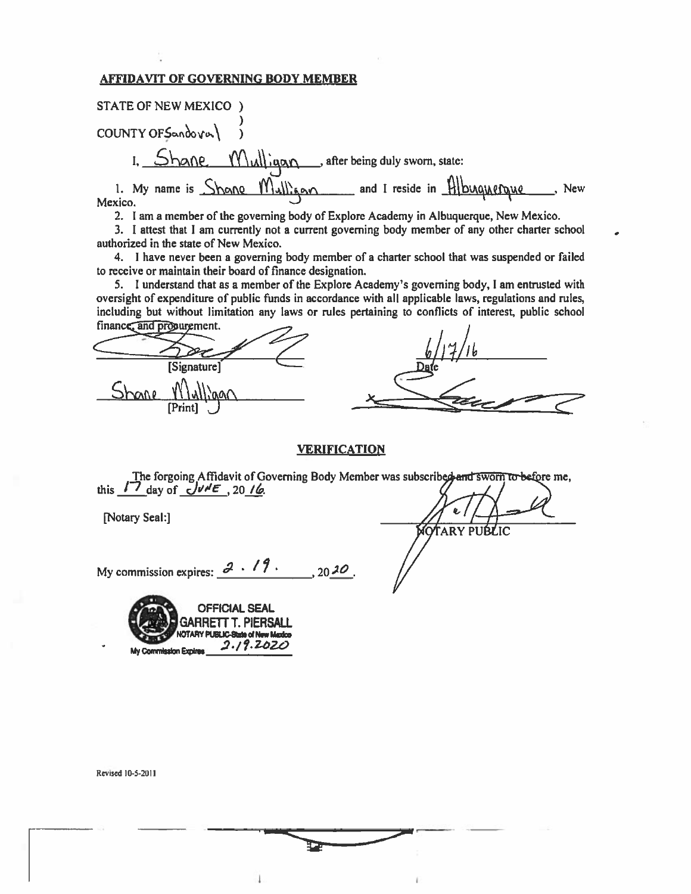#### **AFFIDAVIT OF GOVERNING BODY MEMBER**

**STATE OF NEW MEXICO** ) COUNTY OF Sandoval I. Shane Mulligan, after being duly sworn, state: 1. My name is Shane Mulligan and I reside in Albuquerque . New Mexico.

2. I am a member of the governing body of Explore Academy in Albuquerque, New Mexico.

3. I attest that I am currently not a current governing body member of any other charter school authorized in the state of New Mexico.

4. I have never been a governing body member of a charter school that was suspended or failed to receive or maintain their board of finance designation.

5. I understand that as a member of the Explore Academy's governing body, I am entrusted with oversight of expenditure of public funds in accordance with all applicable laws, regulations and rules, including but without limitation any laws or rules pertaining to conflicts of interest, public school

| imance and propurement. |      |
|-------------------------|------|
|                         | ىم   |
| [Signature]             | Date |
|                         |      |
| [Print]                 |      |

#### **VERIFICATION**

The forgoing Affidavit of Governing Body Member was subscribed and sworn to before me, this  $17$  day of  $\sqrt{v/k}$ , 20 16.

[Notary Seal:]

**MOTARY PUBLIC** 

My commission expires:  $3 \cdot 19$ .  $.2020$ 



Revised 10-5-2011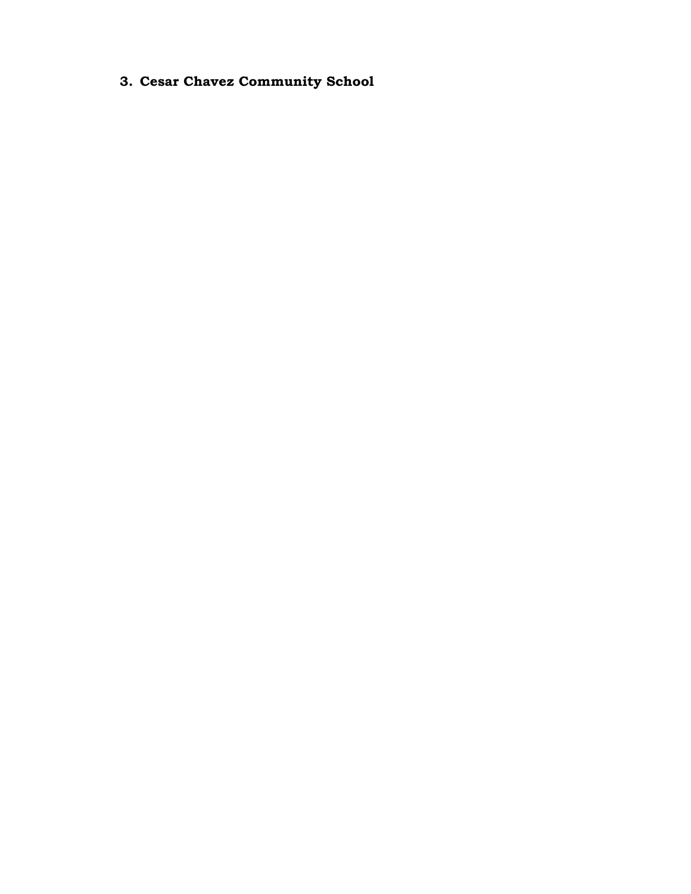**3. Cesar Chavez Community School**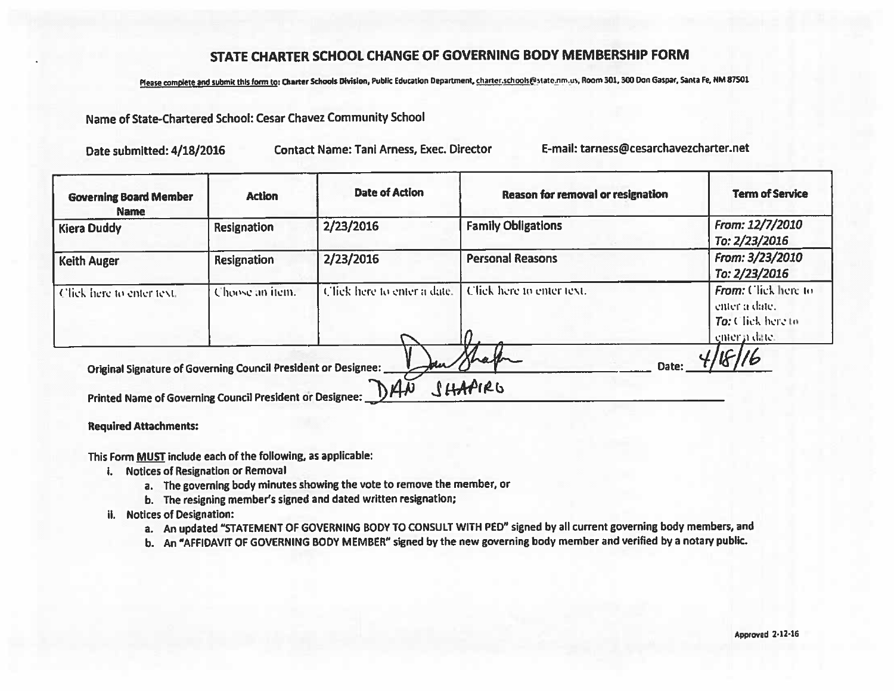## STATE CHARTER SCHOOL CHANGE OF GOVERNING BODY MEMBERSHIP FORM

Please complete and submit this form to: Charter Schools Division, Public Education Department, charter.schools@state.nm.us, Room 301, 300 Don Gaspar, Santa Fe, NM 87501

Name of State-Chartered School: Cesar Chavez Community School

E-mail: tarness@cesarchavezcharter.net **Contact Name: Tani Arness, Exec. Director** Date submitted: 4/18/2016

| <b>Governing Board Member</b><br><b>Name</b>                                                                               | <b>Action</b>      | <b>Date of Action</b>       | Reason for removal or resignation | <b>Term of Service</b>                                                     |
|----------------------------------------------------------------------------------------------------------------------------|--------------------|-----------------------------|-----------------------------------|----------------------------------------------------------------------------|
| <b>Kiera Duddy</b>                                                                                                         | <b>Resignation</b> | 2/23/2016                   | <b>Family Obligations</b>         | From: 12/7/2010<br>To: 2/23/2016                                           |
| <b>Keith Auger</b>                                                                                                         | <b>Resignation</b> | 2/23/2016                   | <b>Personal Reasons</b>           | From: 3/23/2010<br>To: 2/23/2016                                           |
| Click here to enter text.                                                                                                  | Choose an item.    | Click here to enter a date. | Click here to enter text.         | From: Click here to<br>enter à date.<br>To: Click here to<br>enter a date. |
| Original Signature of Governing Council President or Designee:<br>Printed Name of Governing Council President or Designee: |                    | DAA                         | hex<br>Date:<br>SHAPIRG           |                                                                            |

**Required Attachments:** 

This Form MUST include each of the following, as applicable:

- i. Notices of Resignation or Removal
	- a. The governing body minutes showing the vote to remove the member, or
	- b. The resigning member's signed and dated written resignation;
- ii. Notices of Designation:
	- a. An updated "STATEMENT OF GOVERNING BODY TO CONSULT WITH PED" signed by all current governing body members, and
	- b. An "AFFIDAVIT OF GOVERNING BODY MEMBER" signed by the new governing body member and verified by a notary public.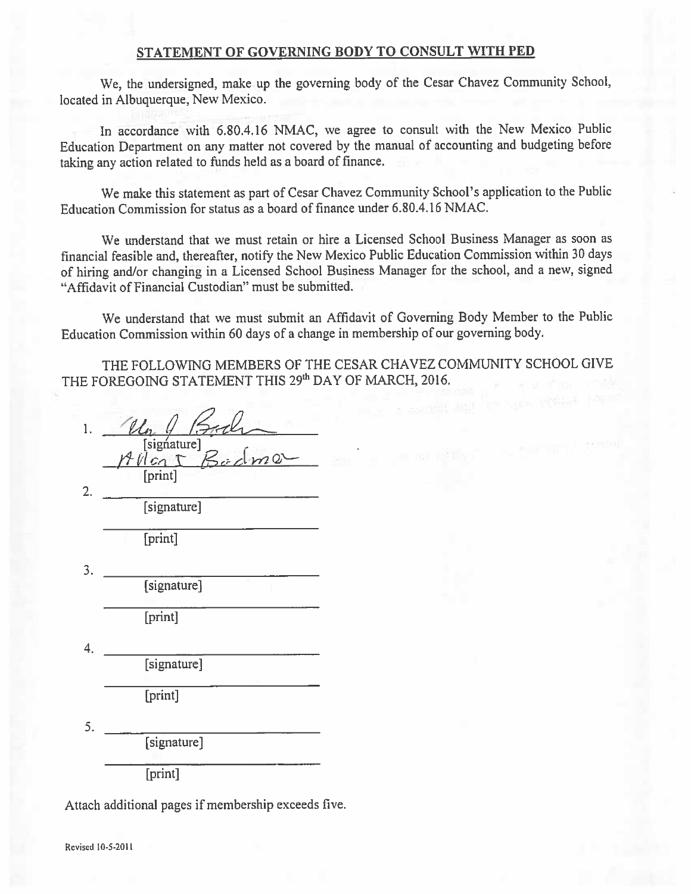#### STATEMENT OF GOVERNING BODY TO CONSULT WITH PED

We, the undersigned, make up the governing body of the Cesar Chavez Community School, located in Albuquerque, New Mexico.

In accordance with 6.80.4.16 NMAC, we agree to consult with the New Mexico Public Education Department on any matter not covered by the manual of accounting and budgeting before taking any action related to funds held as a board of finance.

We make this statement as part of Cesar Chavez Community School's application to the Public Education Commission for status as a board of finance under 6.80.4.16 NMAC.

We understand that we must retain or hire a Licensed School Business Manager as soon as financial feasible and, thereafter, notify the New Mexico Public Education Commission within 30 days of hiring and/or changing in a Licensed School Business Manager for the school, and a new, signed "Affidavit of Financial Custodian" must be submitted.

We understand that we must submit an Affidavit of Governing Body Member to the Public Education Commission within 60 days of a change in membership of our governing body.

THE FOLLOWING MEMBERS OF THE CESAR CHAVEZ COMMUNITY SCHOOL GIVE THE FOREGOING STATEMENT THIS 29th DAY OF MARCH, 2016.

 $isignature$ [print] 3. [signature] [print] [signature] [print]  $5.$ [signature] [print]

Attach additional pages if membership exceeds five.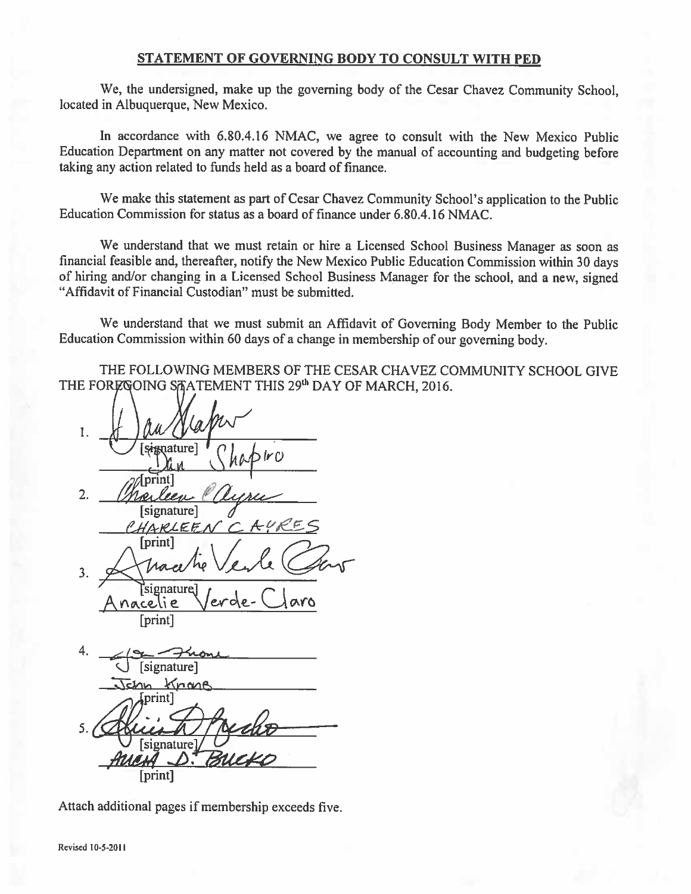#### STATEMENT OF GOVERNING BODY TO CONSULT WITH PED

We, the undersigned, make up the governing body of the Cesar Chavez Community School. located in Albuquerque, New Mexico.

In accordance with 6.80.4.16 NMAC, we agree to consult with the New Mexico Public Education Department on any matter not covered by the manual of accounting and budgeting before taking any action related to funds held as a board of finance.

We make this statement as part of Cesar Chavez Community School's application to the Public Education Commission for status as a board of finance under 6.80.4.16 NMAC.

We understand that we must retain or hire a Licensed School Business Manager as soon as financial feasible and, thereafter, notify the New Mexico Public Education Commission within 30 days of hiring and/or changing in a Licensed School Business Manager for the school, and a new, signed "Affidavit of Financial Custodian" must be submitted.

We understand that we must submit an Affidavit of Governing Body Member to the Public Education Commission within 60 days of a change in membership of our governing body.

THE FOLLOWING MEMBERS OF THE CESAR CHAVEZ COMMUNITY SCHOOL GIVE THE FOREGOING SAATEMENT THIS 29<sup>th</sup> DAY OF MARCH, 2016.

1. (rc  $\overline{2}$ . ren [signature] CHARLEEN [print] Iraes  $3.$ Esignature nacelie [print] [signature] John Knone print] 5. [signature]

Attach additional pages if membership exceeds five.

[print]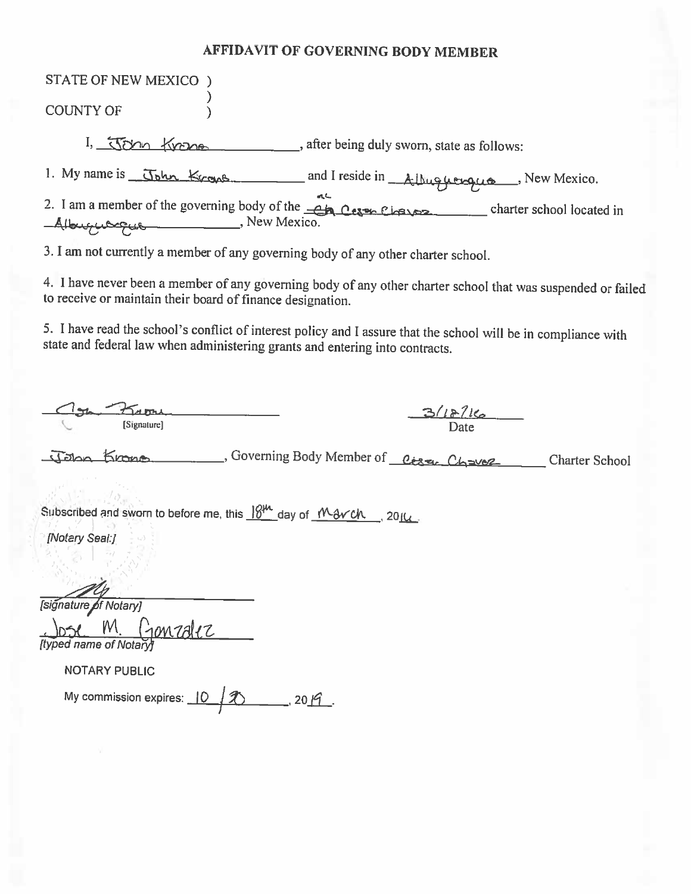# **AFFIDAVIT OF GOVERNING BODY MEMBER**

| STATE OF NEW MEXICO )                                                                                                                                                                                 |
|-------------------------------------------------------------------------------------------------------------------------------------------------------------------------------------------------------|
|                                                                                                                                                                                                       |
| <b>COUNTY OF</b>                                                                                                                                                                                      |
| I, John Krone, after being duly sworn, state as follows:                                                                                                                                              |
|                                                                                                                                                                                                       |
| 1. My name is John Krows and I reside in Athuguerque New Mexico.<br>2. I am a member of the governing body of the <u>CA</u> Cern Charles Company charter school located in<br>Albuquerque New Mexico. |
| 3. I am not currently a member of any governing body of any other charter school.                                                                                                                     |
| 4. I have never been a member of any governing body of any other charter school that was suspended or failed<br>to receive or maintain their board of finance designation.                            |
| 5. I have read the school's conflict of interest policy and I assure that the school will be in compliance with<br>state and federal law when administering grants and entering into contracts.       |
| From                                                                                                                                                                                                  |
| 3/18/16<br>[Signature]                                                                                                                                                                                |
| John Krono                                                                                                                                                                                            |
|                                                                                                                                                                                                       |
| Subscribed and sworn to before me, this $18^{14}$ day of $1^{16}$ av Ch., 2014.                                                                                                                       |
| [Notary Seal:]                                                                                                                                                                                        |
|                                                                                                                                                                                                       |
|                                                                                                                                                                                                       |
| [signature of Notary]                                                                                                                                                                                 |
| $M_{\odot}$<br>Gonzalez                                                                                                                                                                               |
| <b>Ityped name of Notary</b>                                                                                                                                                                          |
| <b>NOTARY PUBLIC</b>                                                                                                                                                                                  |
| My commission expires: 10<br>2019                                                                                                                                                                     |
|                                                                                                                                                                                                       |
|                                                                                                                                                                                                       |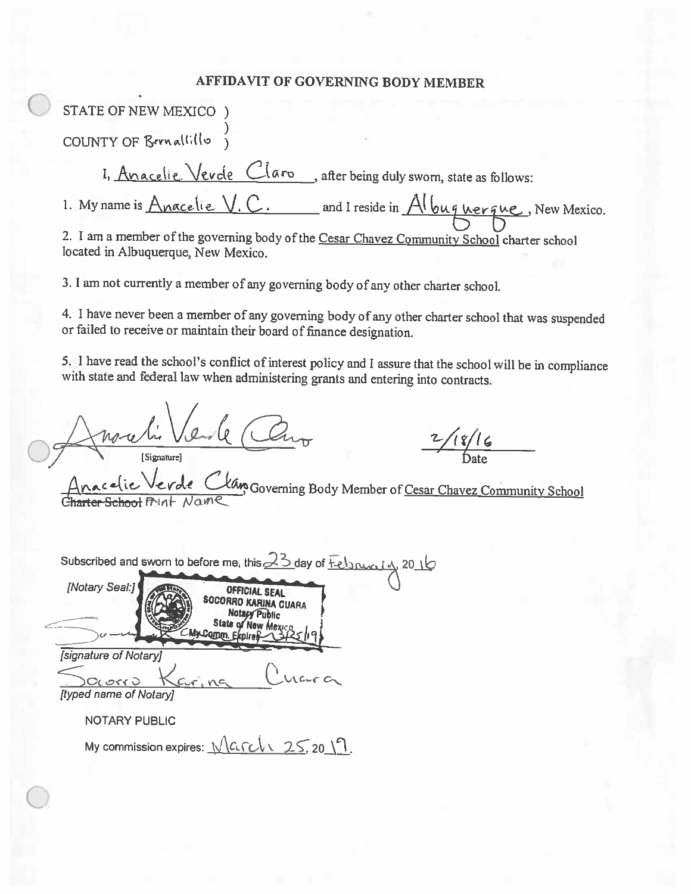# AFFIDAVIT OF GOVERNING BODY MEMBER

| STATE OF NEW MEXICO )                                                                                                                                                                                                                                                                                                            |
|----------------------------------------------------------------------------------------------------------------------------------------------------------------------------------------------------------------------------------------------------------------------------------------------------------------------------------|
| COUNTY OF Bernallillo                                                                                                                                                                                                                                                                                                            |
| I, Anacelie Vevole Claro, after being duly sworn, state as follows:                                                                                                                                                                                                                                                              |
| 1. My name is Anacelie V. C. and I reside in $Al$ bu q nerque, New Mexico.                                                                                                                                                                                                                                                       |
| 2. I am a member of the governing body of the Cesar Chavez Community School charter school<br>located in Albuquerque, New Mexico.                                                                                                                                                                                                |
| 3. I am not currently a member of any governing body of any other charter school.                                                                                                                                                                                                                                                |
| 4. I have never been a member of any governing body of any other charter school that was suspended<br>or failed to receive or maintain their board of finance designation.                                                                                                                                                       |
| 5. I have read the school's conflict of interest policy and I assure that the school will be in compliance<br>with state and federal law when administering grants and entering into contracts.                                                                                                                                  |
| nochi Verle Cho<br>18/16<br>Anacelie Verde Clan Governing Body Member of Cesar Chavez Community School                                                                                                                                                                                                                           |
| Subscribed and sworn to before me, this $23$ day of $\frac{1}{12}$ $\frac{1}{201}$<br>[Notary Seal:]<br>OFFICIAL SEAL<br><b>OFFICIAL SEAL</b><br>SOCORRO KARINA CUARA<br>Notary Public<br>State of New Mexico<br>MxComm. Ekp<br>[signature of Notary]<br>$C_{1}$ ng<br><b>OLOSY J</b><br>[typed name of Notary]<br>NOTARY PUBLIC |
| My commission expires: $\sqrt{CCL}$ , 25, 20   1.                                                                                                                                                                                                                                                                                |
|                                                                                                                                                                                                                                                                                                                                  |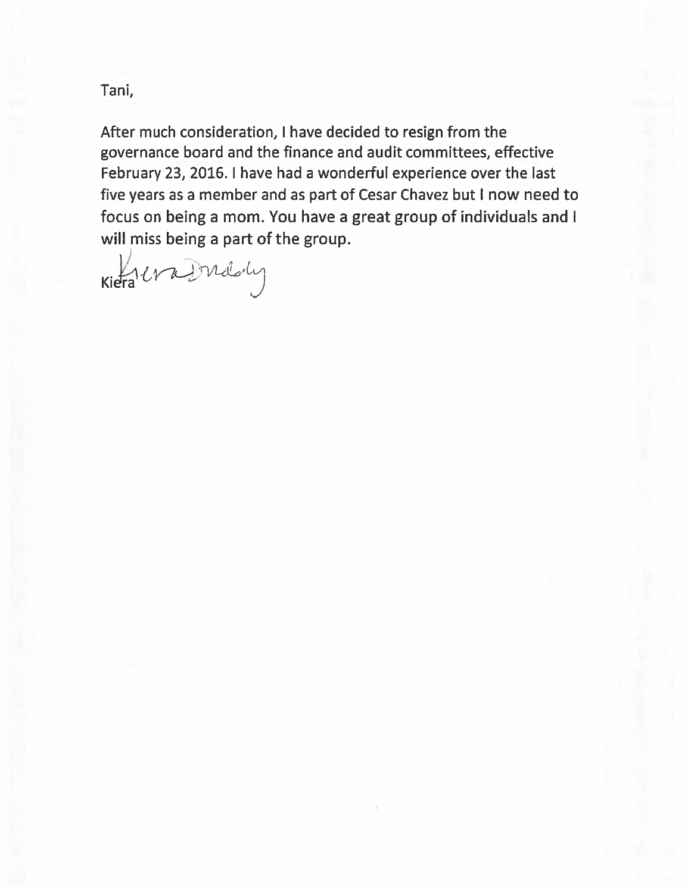Tani,

After much consideration, I have decided to resign from the governance board and the finance and audit committees, effective February 23, 2016. I have had a wonderful experience over the last five years as a member and as part of Cesar Chavez but I now need to focus on being a mom. You have a great group of individuals and I will miss being a part of the group.

Kiera era Indoly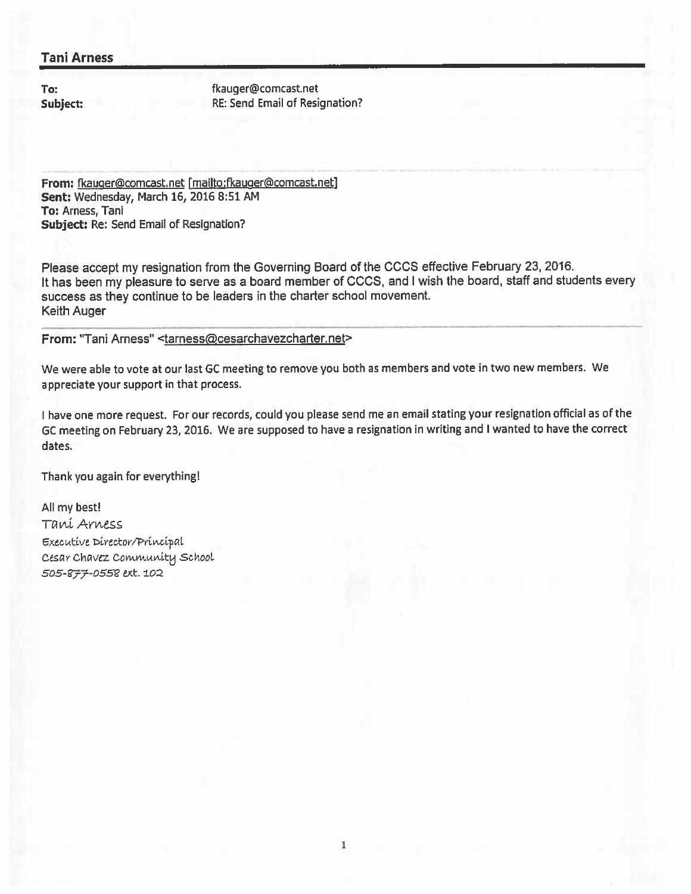## **Tani Arness**

To: Subject: fkauger@comcast.net RE: Send Email of Resignation?

From: fkauger@comcast.net [mailto:fkauger@comcast.net] Sent: Wednesday, March 16, 2016 8:51 AM To: Arness, Tani Subject: Re: Send Email of Resignation?

Please accept my resignation from the Governing Board of the CCCS effective February 23, 2016. It has been my pleasure to serve as a board member of CCCS, and I wish the board, staff and students every success as they continue to be leaders in the charter school movement. Keith Auger

#### From: "Tani Arness" <tarness@cesarchavezcharter.net>

We were able to vote at our last GC meeting to remove you both as members and vote in two new members. We appreciate your support in that process.

I have one more request. For our records, could you please send me an email stating your resignation official as of the GC meeting on February 23, 2016. We are supposed to have a resignation in writing and I wanted to have the correct dates.

Thank you again for everything!

All my best! Tani Arness Executive Director/Principal Cesar Chavez Community School 505-877-0558 ext. 102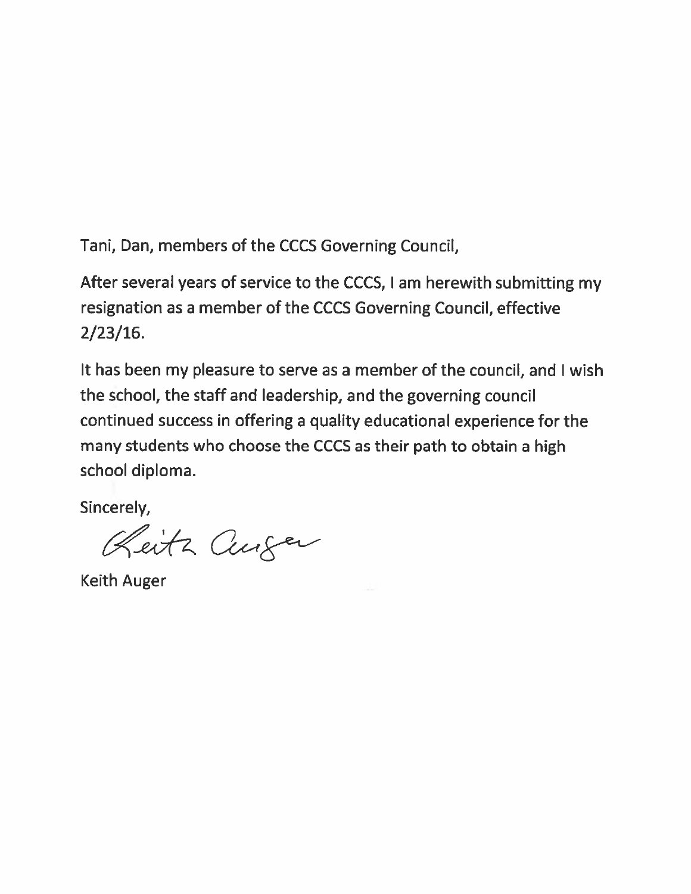Tani, Dan, members of the CCCS Governing Council,

After several years of service to the CCCS, I am herewith submitting my resignation as a member of the CCCS Governing Council, effective  $2/23/16.$ 

It has been my pleasure to serve as a member of the council, and I wish the school, the staff and leadership, and the governing council continued success in offering a quality educational experience for the many students who choose the CCCS as their path to obtain a high school diploma.

Sincerely,

Reitz Curser

**Keith Auger**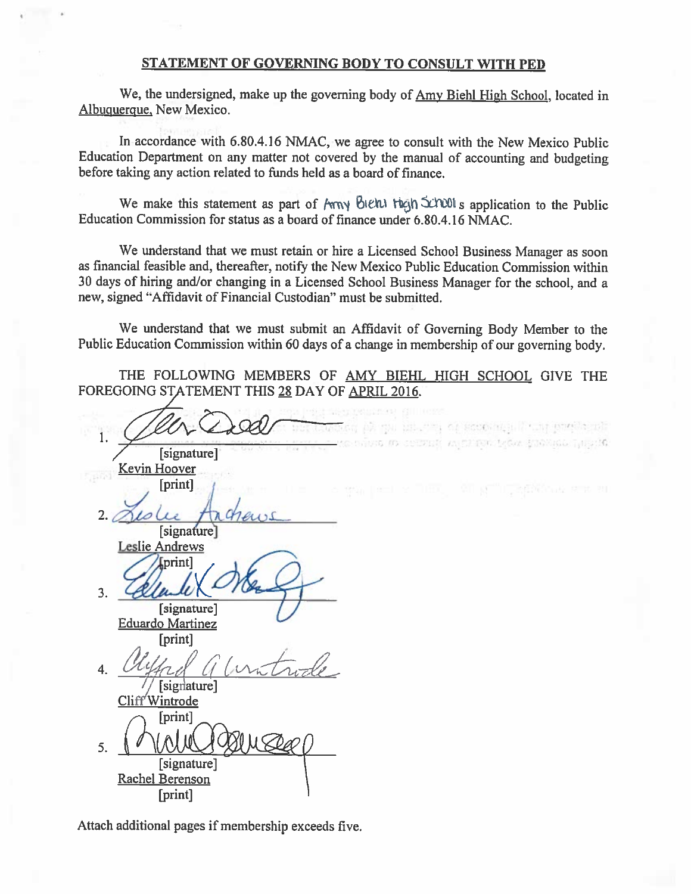#### STATEMENT OF GOVERNING BODY TO CONSULT WITH PED

We, the undersigned, make up the governing body of Amy Biehl High School, located in Albuquerque, New Mexico.

In accordance with 6.80.4.16 NMAC, we agree to consult with the New Mexico Public Education Department on any matter not covered by the manual of accounting and budgeting before taking any action related to funds held as a board of finance.

We make this statement as part of Arry bight than School's application to the Public Education Commission for status as a board of finance under 6.80.4.16 NMAC.

We understand that we must retain or hire a Licensed School Business Manager as soon as financial feasible and, thereafter, notify the New Mexico Public Education Commission within 30 days of hiring and/or changing in a Licensed School Business Manager for the school, and a new, signed "Affidavit of Financial Custodian" must be submitted.

We understand that we must submit an Affidavit of Governing Body Member to the Public Education Commission within 60 days of a change in membership of our governing body.

THE FOLLOWING MEMBERS OF AMY BIEHL HIGH SCHOOL GIVE THE FOREGOING STATEMENT THIS 28 DAY OF APRIL 2016.

Miller, of scotchill, I the spring of 1. SEEMEN AN OFFICE LOAN STORAGO THESES [signature] Kevin Hoover [print]  $2.1$ [signature] **Leslie Andrews** [print]  $3<sub>1</sub>$ [signature] **Eduardo Martinez** [print]  $\overline{\mathbf{4}}$ // [signature] Cliff<sup>'</sup>Wintrode [print]  $5<sub>1</sub>$ [signature] Rachel Berenson [print]

Attach additional pages if membership exceeds five.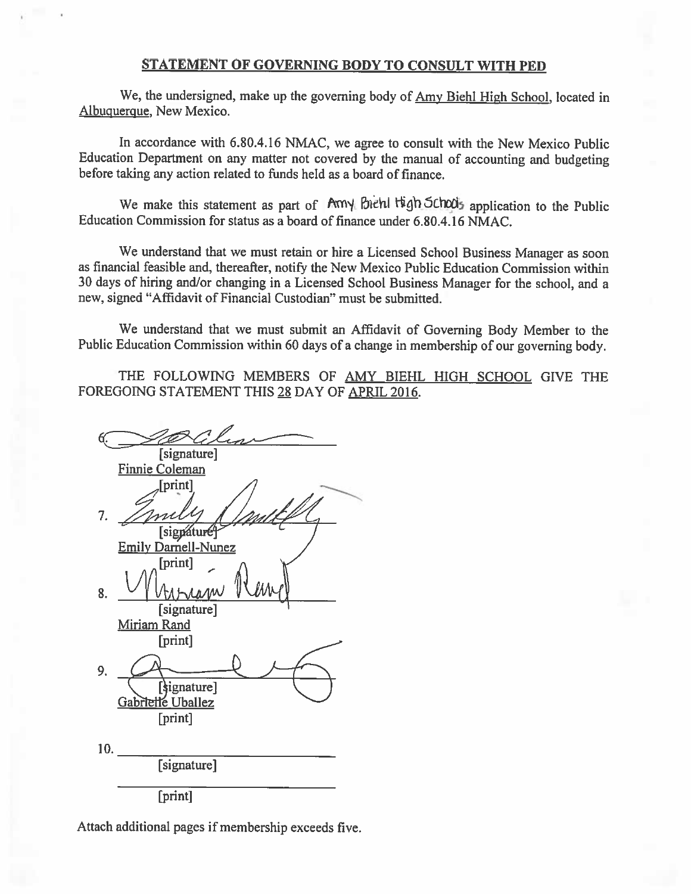#### STATEMENT OF GOVERNING BODY TO CONSULT WITH PED

We, the undersigned, make up the governing body of Amy Biehl High School, located in Albuquerque, New Mexico.

In accordance with 6.80.4.16 NMAC, we agree to consult with the New Mexico Public Education Department on any matter not covered by the manual of accounting and budgeting before taking any action related to funds held as a board of finance.

We make this statement as part of Amy Biehl tigh School's application to the Public Education Commission for status as a board of finance under 6.80.4.16 NMAC.

We understand that we must retain or hire a Licensed School Business Manager as soon as financial feasible and, thereafter, notify the New Mexico Public Education Commission within 30 days of hiring and/or changing in a Licensed School Business Manager for the school, and a new, signed "Affidavit of Financial Custodian" must be submitted.

We understand that we must submit an Affidavit of Governing Body Member to the Public Education Commission within 60 days of a change in membership of our governing body.

THE FOLLOWING MEMBERS OF AMY BIEHL HIGH SCHOOL GIVE THE FOREGOING STATEMENT THIS 28 DAY OF APRIL 2016.

[signature] Finnie Coleman [print]  $\overline{7}$ . [sigpature<sup>4</sup> **Emily Darnell-Nunez** [print]  $\mathbf{R}$ . [signature] Miriam Rand [print] 9. [signature] Gabrielle Uballez [print] 10. [signature] [print]

Attach additional pages if membership exceeds five.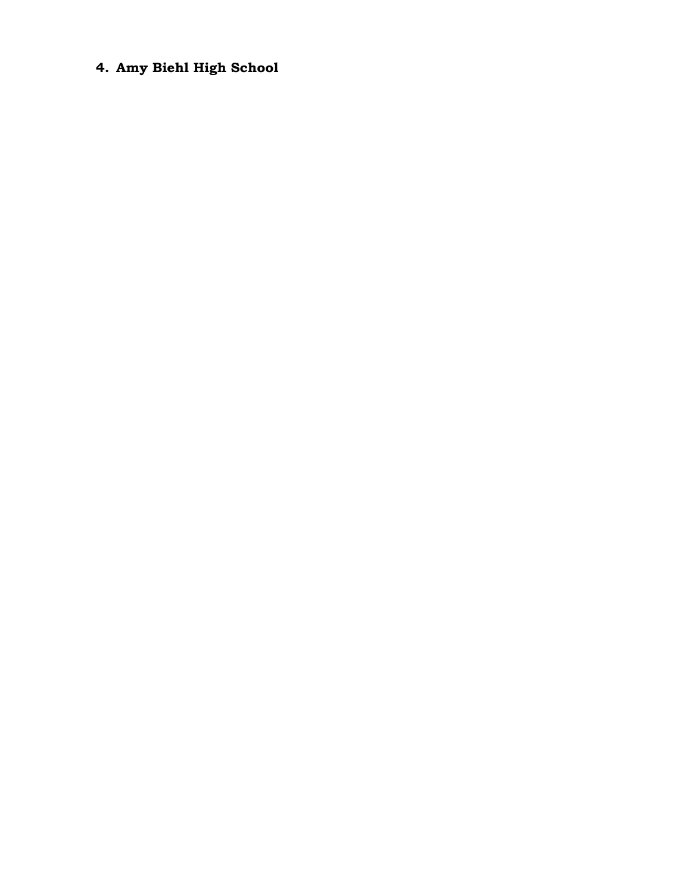# **4. Amy Biehl High School**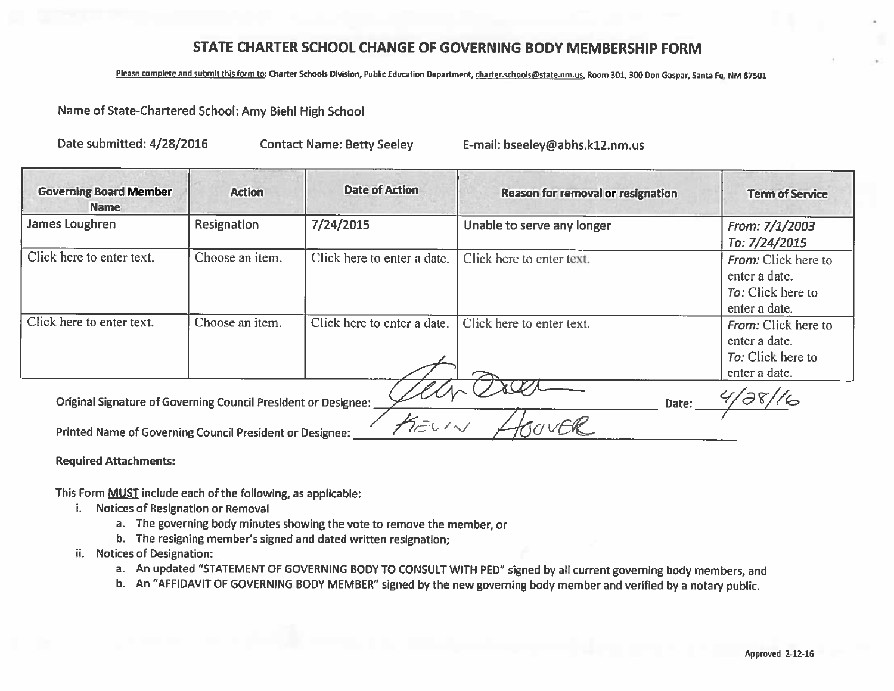## STATE CHARTER SCHOOL CHANGE OF GOVERNING BODY MEMBERSHIP FORM

#### Please complete and submit this form to: Charter Schools Division, Public Education Department, charter schools@state.nm.us, Room 301, 300 Don Gaspar, Santa Fe, NM 87501

### Name of State-Chartered School: Amy Biehl High School

Date submitted: 4/28/2016

**Contact Name: Betty Seeley** 

E-mail: bseeley@abhs.k12.nm.us

| <b>Governing Board Member</b><br>Name                                                                                             | <b>Action</b>      | <b>Date of Action</b>       | <b>Reason for removal or resignation</b> | <b>Term of Service</b>                                                            |
|-----------------------------------------------------------------------------------------------------------------------------------|--------------------|-----------------------------|------------------------------------------|-----------------------------------------------------------------------------------|
| James Loughren                                                                                                                    | <b>Resignation</b> | 7/24/2015                   | Unable to serve any longer               | From: 7/1/2003<br>To: 7/24/2015                                                   |
| Click here to enter text.                                                                                                         | Choose an item.    | Click here to enter a date. | Click here to enter text.                | <b>From:</b> Click here to<br>enter a date.<br>To: Click here to<br>enter a date. |
| Click here to enter text.                                                                                                         | Choose an item.    | Click here to enter a date. | Click here to enter text.                | From: Click here to<br>enter a date.<br>To: Click here to<br>enter a date.        |
| Original Signature of Governing Council President or Designee:<br><b>Printed Name of Governing Council President or Designee:</b> |                    | AEUIN                       | Date:                                    |                                                                                   |

**Required Attachments:** 

This Form **MUST** include each of the following, as applicable:

- i. Notices of Resignation or Removal
	- a. The governing body minutes showing the vote to remove the member, or
	- b. The resigning member's signed and dated written resignation;
- ii. Notices of Designation:
	- a. An updated "STATEMENT OF GOVERNING BODY TO CONSULT WITH PED" signed by all current governing body members, and
	- b. An "AFFIDAVIT OF GOVERNING BODY MEMBER" signed by the new governing body member and verified by a notary public.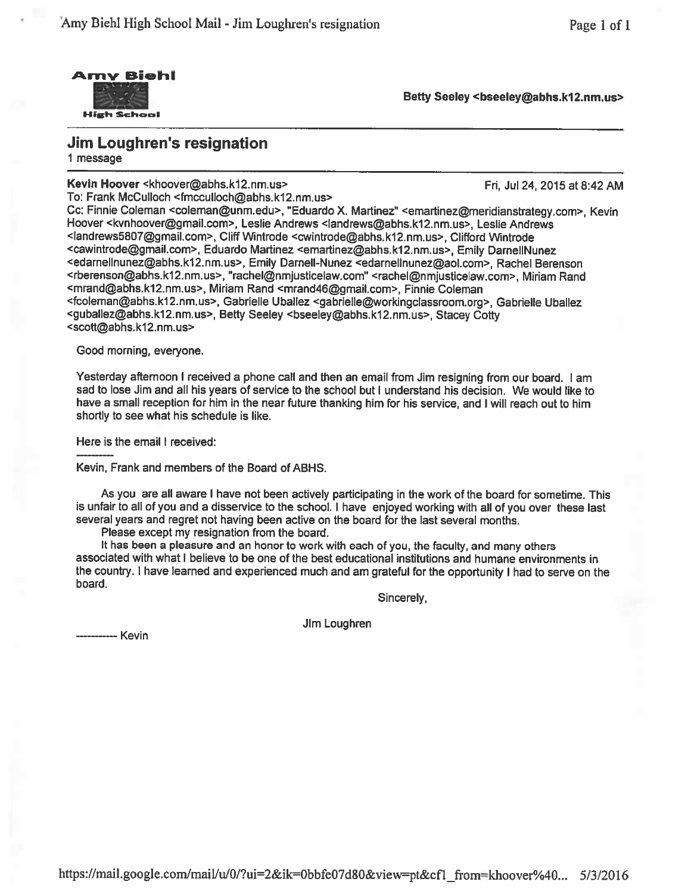

Betty Seeley <bseeley@abhs.k12.nm.us>

**Jim Loughren's resignation** 1 message

Kevin Hoover <khoover@abhs.k12.nm.us>

Fri, Jul 24, 2015 at 8:42 AM

To: Frank McCulloch <fmcculloch@abhs.k12.nm.us> Cc: Finnie Coleman <coleman@unm.edu>, "Eduardo X. Martinez" <emartinez@meridianstrategy.com>, Kevin Hoover <kvnhoover@gmail.com>, Leslie Andrews <landrews@abhs.k12.nm.us>, Leslie Andrews <landrews5807@gmail.com>, Cliff Wintrode <cwintrode@abhs.k12.nm.us>, Clifford Wintrode <cawintrode@gmail.com>, Eduardo Martinez <emartinez@abhs.k12.nm.us>, Emily DarnellNunez <edarnellnunez@abhs.k12.nm.us>, Emily Darnell-Nunez <edarnellnunez@aol.com>, Rachel Berenson <rberenson@abhs.k12.nm.us>, "rachel@nmjusticelaw.com" <rachel@nmjusticelaw.com>, Miriam Rand <mrand@abhs.k12.nm.us>, Miriam Rand <mrand46@gmail.com>, Finnie Coleman <fcoleman@abhs.k12.nm.us>, Gabrielle Uballez <gabrielle@workingclassroom.org>, Gabrielle Uballez <guballez@abhs.k12.nm.us>, Betty Seeley <bseeley@abhs.k12.nm.us>, Stacey Cotty <scott@abhs.k12.nm.us>

Good morning, everyone.

Yesterday afternoon I received a phone call and then an email from Jim resigning from our board. I am sad to lose Jim and all his years of service to the school but I understand his decision. We would like to have a small reception for him in the near future thanking him for his service, and I will reach out to him shortly to see what his schedule is like.

Here is the email I received:

Kevin, Frank and members of the Board of ABHS.

As you are all aware I have not been actively participating in the work of the board for sometime. This is unfair to all of you and a disservice to the school. I have enjoyed working with all of you over these last several years and regret not having been active on the board for the last several months.

Please except my resignation from the board.

It has been a pleasure and an honor to work with each of you, the faculty, and many others associated with what I believe to be one of the best educational institutions and humane environments in the country. I have learned and experienced much and am grateful for the opportunity I had to serve on the board.

Sincerely,

Jim Loughren

------- Kevin